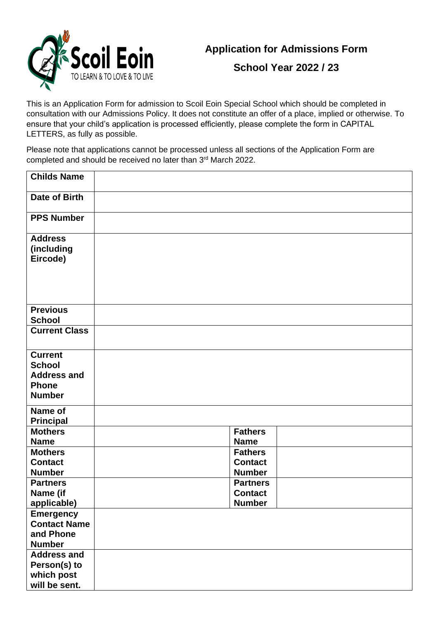

**School Year 2022 / 23**

This is an Application Form for admission to Scoil Eoin Special School which should be completed in consultation with our Admissions Policy. It does not constitute an offer of a place, implied or otherwise. To ensure that your child's application is processed efficiently, please complete the form in CAPITAL LETTERS, as fully as possible.

Please note that applications cannot be processed unless all sections of the Application Form are completed and should be received no later than 3rd March 2022.

| <b>Childs Name</b>                                                                     |                                                    |
|----------------------------------------------------------------------------------------|----------------------------------------------------|
| Date of Birth                                                                          |                                                    |
| <b>PPS Number</b>                                                                      |                                                    |
| <b>Address</b><br>(including<br>Eircode)                                               |                                                    |
| <b>Previous</b><br><b>School</b>                                                       |                                                    |
| <b>Current Class</b>                                                                   |                                                    |
| <b>Current</b><br><b>School</b><br><b>Address and</b><br><b>Phone</b><br><b>Number</b> |                                                    |
| Name of<br><b>Principal</b>                                                            |                                                    |
| <b>Mothers</b><br><b>Name</b>                                                          | <b>Fathers</b><br><b>Name</b>                      |
| <b>Mothers</b><br><b>Contact</b><br><b>Number</b>                                      | <b>Fathers</b><br><b>Contact</b><br><b>Number</b>  |
| <b>Partners</b><br>Name (if<br>applicable)                                             | <b>Partners</b><br><b>Contact</b><br><b>Number</b> |
| <b>Emergency</b><br><b>Contact Name</b><br>and Phone<br><b>Number</b>                  |                                                    |
| <b>Address and</b><br>Person(s) to<br>which post<br>will be sent.                      |                                                    |